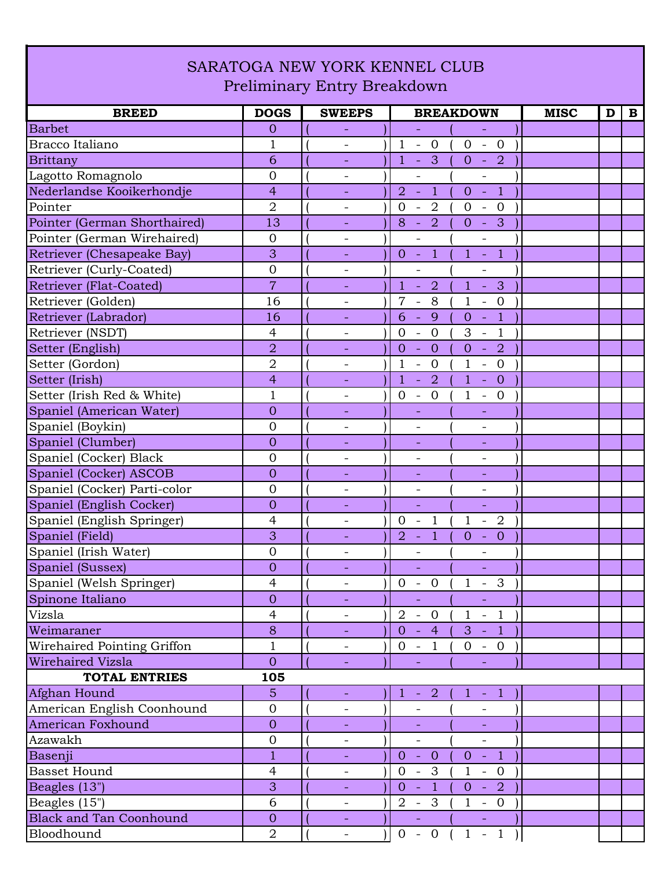## SARATOGA NEW YORK KENNEL CLUB Preliminary Entry Breakdown

| <b>BREED</b>                   | <b>DOGS</b>      | <b>SWEEPS</b>            | <b>BREAKDOWN</b>                                                                                                           | <b>MISC</b><br>$\mathbf{B}$<br>D |
|--------------------------------|------------------|--------------------------|----------------------------------------------------------------------------------------------------------------------------|----------------------------------|
| <b>Barbet</b>                  | $\mathbf{0}$     | Ξ.                       | ÷,<br>$\equiv$                                                                                                             |                                  |
| Bracco Italiano                | $\mathbf{1}$     |                          | $\mathbf{1}$<br>$0 -$<br>$\overline{\phantom{a}}$<br>$\overline{0}$<br>$\overline{0}$                                      |                                  |
| Brittany                       | 6                |                          | $\overline{\mathbf{3}}$<br>$\overline{-2}$<br>$\mathbf{1}$<br>$\overline{0}$<br>$\equiv$                                   |                                  |
| Lagotto Romagnolo              | $\overline{0}$   | $\overline{\phantom{a}}$ | $\overline{\phantom{0}}$<br>$\overline{\phantom{a}}$                                                                       |                                  |
| Nederlandse Kooikerhondje      | $\overline{4}$   |                          | $\overline{1}$<br>$\overline{1}$<br>$\overline{2}$<br>ч.<br>$\overline{0}$<br>$\sim$                                       |                                  |
| Pointer                        | $\overline{2}$   | -                        | $\overline{2}$<br>$\mathbf{0}$<br>$\overline{0}$<br>$\overline{0}$<br>$\overline{\phantom{a}}$<br>$\overline{\phantom{a}}$ |                                  |
| Pointer (German Shorthaired)   | 13               |                          | $\overline{2}$<br>3<br>8<br>$\overline{0}$<br>$\sim$<br>$\sim$                                                             |                                  |
| Pointer (German Wirehaired)    | $\overline{0}$   | $\overline{\phantom{0}}$ | $\overline{\phantom{a}}$<br>$\overline{\phantom{0}}$                                                                       |                                  |
| Retriever (Chesapeake Bay)     | 3                | $\equiv$                 | $\overline{1}$<br>$0 -$<br>$1 -$<br>A)                                                                                     |                                  |
| Retriever (Curly-Coated)       | $\overline{0}$   | -                        |                                                                                                                            |                                  |
| Retriever (Flat-Coated)        | $\overline{7}$   |                          | $\mathbf{1}$<br>$\overline{2}$<br>$\mathbf{1}$<br>$\mathbf{3}$<br>$\Box$                                                   |                                  |
| Retriever (Golden)             | 16               | $\overline{\phantom{0}}$ | $\overline{7}$<br>8<br>$\mathbf{1}$<br>$\overline{0}$<br>$\overline{\phantom{a}}$<br>$\overline{\phantom{a}}$              |                                  |
| Retriever (Labrador)           | 16               | $\equiv$                 | 9<br>$\overline{1}$<br>6<br>$\sim$<br>$\overline{0}$<br>$\equiv$                                                           |                                  |
| Retriever (NSDT)               | 4                | $\overline{\phantom{a}}$ | $\overline{0}$<br>$\mathbf{1}$<br>$\Omega$<br>3<br>$\overline{\phantom{a}}$<br>$\overline{\phantom{a}}$                    |                                  |
| Setter (English)               | $\overline{2}$   |                          | $\overline{2}$<br>$\overline{0}$<br>$\overline{0}$<br>$\overline{0}$<br>÷,<br>$\equiv$                                     |                                  |
| Setter (Gordon)                | $\overline{2}$   | $\overline{\phantom{a}}$ | $\overline{0}$<br>$\mathbf{1}$<br>$\overline{0}$<br>$\mathbf{1}$<br>$\blacksquare$<br>$\overline{\phantom{a}}$             |                                  |
| Setter (Irish)                 | $\overline{4}$   | Ξ.                       | $\mathbf{1}$<br>$\overline{2}$<br>$\overline{0}$<br>$\mathbf{1}$<br>$\equiv$<br>$\equiv$                                   |                                  |
| Setter (Irish Red & White)     | $\mathbf{1}$     | $\overline{\phantom{a}}$ | $\overline{0}$<br>$\overline{0}$<br>0<br>$\mathbf{1}$<br>$\overline{\phantom{a}}$<br>$\overline{\phantom{a}}$              |                                  |
| Spaniel (American Water)       | $\overline{0}$   | ÷                        | $\overline{\phantom{a}}$<br>$\overline{\phantom{a}}$                                                                       |                                  |
| Spaniel (Boykin)               | $\overline{0}$   |                          |                                                                                                                            |                                  |
| Spaniel (Clumber)              | $\overline{0}$   |                          | ÷,<br>$\overline{\phantom{a}}$                                                                                             |                                  |
| Spaniel (Cocker) Black         | $\overline{0}$   | $\overline{\phantom{a}}$ | $\qquad \qquad -$<br>$\overline{\phantom{a}}$                                                                              |                                  |
| Spaniel (Cocker) ASCOB         | $\overline{0}$   |                          |                                                                                                                            |                                  |
| Spaniel (Cocker) Parti-color   | $\overline{0}$   | $\qquad \qquad -$        | $\qquad \qquad -$<br>$\qquad \qquad -$                                                                                     |                                  |
| Spaniel (English Cocker)       | $\overline{0}$   | Ξ.                       | $\equiv$<br>$\equiv$                                                                                                       |                                  |
| Spaniel (English Springer)     | $\overline{4}$   | $\overline{\phantom{a}}$ | $\overline{2}$<br>$\mathbf{0}$<br>$\mathbf{1}$<br>$\mathbf{1}$<br>$\overline{\phantom{a}}$<br>$\blacksquare$               |                                  |
| Spaniel (Field)                | 3                | Ξ.                       | $\mathbf{1}$<br>$\overline{2}$<br>$\overline{0}$<br>$\overline{0}$<br>$\blacksquare$<br>$\equiv$                           |                                  |
| Spaniel (Irish Water)          | $\overline{0}$   |                          |                                                                                                                            |                                  |
| Spaniel (Sussex)               | $\overline{0}$   |                          |                                                                                                                            |                                  |
| Spaniel (Welsh Springer)       | $\overline{4}$   | $\overline{\phantom{a}}$ | $\overline{0}$<br>$\overline{0}$<br>$\mathbf{1}$<br>3<br>$\overline{\phantom{a}}$<br>$\blacksquare$                        |                                  |
| Spinone Italiano               | $\overline{0}$   |                          | $\equiv$                                                                                                                   |                                  |
| Vizsla                         | $\overline{4}$   |                          | $2 - 0$<br>$1 - 1$                                                                                                         |                                  |
| Weimaraner                     | 8                |                          | $-4$<br>$3 - 1$<br>$\overline{0}$                                                                                          |                                  |
| Wirehaired Pointing Griffon    | $\mathbf{1}$     |                          | $0 - 1$<br>$0 - 0$                                                                                                         |                                  |
| Wirehaired Vizsla              | $\overline{O}$   | $\equiv$                 | $\equiv$<br>$\equiv$                                                                                                       |                                  |
| <b>TOTAL ENTRIES</b>           | 105              |                          |                                                                                                                            |                                  |
| Afghan Hound                   | 5                | $\blacksquare$           | $-2$<br>$1 - 1$<br>$\mathbf{1}$                                                                                            |                                  |
| American English Coonhound     | $\overline{0}$   | $\overline{\phantom{a}}$ | $\overline{\phantom{0}}$<br>$\overline{\phantom{a}}$                                                                       |                                  |
| American Foxhound              | $\overline{0}$   | $\overline{\phantom{a}}$ |                                                                                                                            |                                  |
| Azawakh                        | $\boldsymbol{0}$ | $\overline{\phantom{a}}$ | $\overline{\phantom{a}}$<br>$\overline{\phantom{a}}$                                                                       |                                  |
| Basenji                        | $\mathbf{1}$     |                          | $-0$<br>$-1$<br>$\overline{0}$<br>$\overline{0}$                                                                           |                                  |
| <b>Basset Hound</b>            | $\overline{4}$   | $\overline{\phantom{a}}$ | $0 - 3$<br>$\mathbf{1}$<br>$-0$ )                                                                                          |                                  |
| Beagles (13")                  | 3                | $\blacksquare$           | $\overline{1}$<br>$0 - 2$<br>$0 -$                                                                                         |                                  |
| Beagles (15")                  | 6                |                          | $2 - 3$<br>$\mathbf{1}$<br>$-0$                                                                                            |                                  |
| <b>Black and Tan Coonhound</b> | $\overline{0}$   |                          | Η<br>$\sigma_{\rm{eff}}$                                                                                                   |                                  |
| Bloodhound                     | $\overline{2}$   | $\overline{\phantom{a}}$ | $0 - 0$<br>$1 - 1$                                                                                                         |                                  |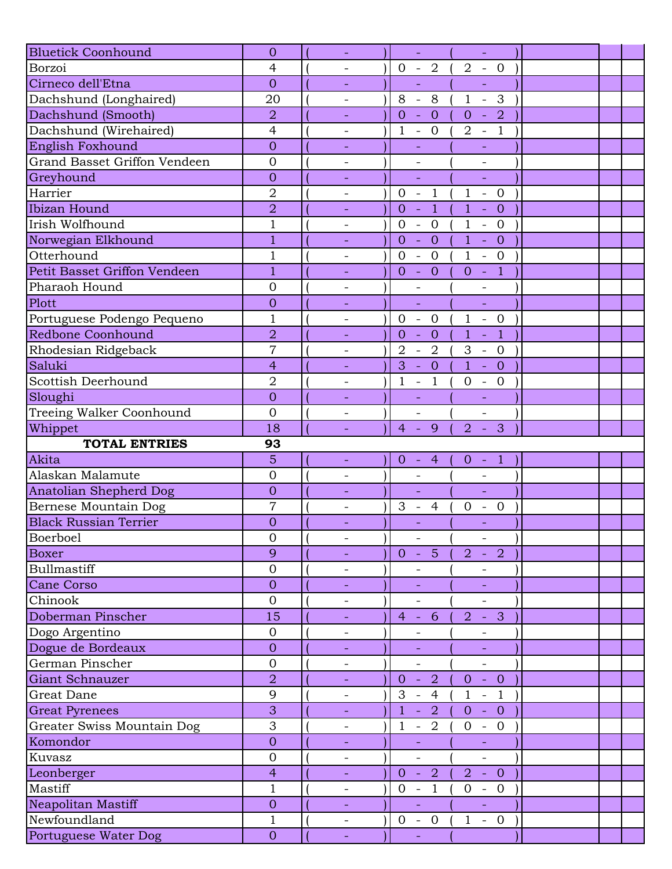| <b>Bluetick Coonhound</b>            | $\overline{0}$                 |                          | $\omega$                                                        | $\omega$                                                     |  |
|--------------------------------------|--------------------------------|--------------------------|-----------------------------------------------------------------|--------------------------------------------------------------|--|
| Borzoi                               | $\overline{4}$                 |                          | $0 - 2$                                                         | $2 - 0$                                                      |  |
| Cirneco dell'Etna                    | $\overline{0}$                 | $\equiv$                 | ÷,                                                              | $\Box$                                                       |  |
| Dachshund (Longhaired)               | 20                             | $\overline{\phantom{a}}$ | 8<br>$8\,$<br>$\overline{\phantom{a}}$                          | $\mathbf{1}$<br>3<br>$\equiv$                                |  |
| Dachshund (Smooth)                   | $\overline{2}$                 |                          | $\overline{0}$<br>$\overline{0}$                                | $\overline{2}$<br>$\overline{0}$<br>$\sim$                   |  |
| Dachshund (Wirehaired)               | $\overline{4}$                 |                          | $\overline{0}$<br>$\mathbf{1}$<br>$\overline{\phantom{a}}$      | $-1$<br>$\overline{2}$                                       |  |
| English Foxhound                     | $\overline{0}$                 |                          |                                                                 |                                                              |  |
| <b>Grand Basset Griffon Vendeen</b>  | $\overline{0}$                 | $\overline{\phantom{a}}$ | $\overline{\phantom{0}}$                                        | $\overline{\phantom{a}}$                                     |  |
| Greyhound                            | $\overline{0}$                 |                          | ÷,                                                              | L,                                                           |  |
| Harrier                              | $\overline{2}$                 |                          | $\overline{1}$<br>$\mathbf{0}$<br>$\mathcal{L}_{\mathcal{A}}$   | $\mathbf{1}$<br>$- 0$                                        |  |
| Ibizan Hound                         | $\overline{2}$                 | $\overline{\phantom{a}}$ | $\overline{1}$<br>$\overline{0}$<br>÷,                          | $\mathbf{1}$<br>$\overline{0}$<br>$\mathbb{L}$               |  |
| Irish Wolfhound                      | $\overline{1}$                 | $\overline{\phantom{a}}$ | $\mathbf{0}$<br>$\overline{0}$<br>$\overline{\phantom{a}}$      | $\mathbf{1}$<br>$\overline{0}$<br>$\equiv$                   |  |
| Norwegian Elkhound                   | $\mathbf{1}$                   |                          | $\overline{0}$<br>$\overline{0}$<br>$\Box$                      | 1 <sup>1</sup><br>$\overline{0}$<br>$\blacklozenge$          |  |
| Otterhound                           | $\mathbf 1$                    |                          | $\overline{0}$<br>$\overline{0}$<br>$\overline{\phantom{a}}$    | $\mathbf{1}$<br>$\overline{0}$<br>$\mathbb{Z}$               |  |
| Petit Basset Griffon Vendeen         | $\mathbf{1}$                   |                          | $- 0$<br>$\overline{0}$                                         | $-1$<br>$\overline{0}$                                       |  |
| Pharaoh Hound                        | $\overline{0}$                 | $\overline{\phantom{a}}$ | $\qquad \qquad -$                                               | $\qquad \qquad -$                                            |  |
| Plott                                | $\overline{0}$                 |                          | L,                                                              | L,                                                           |  |
| Portuguese Podengo Pequeno           | $\mathbf{1}$                   |                          | $\overline{0}$<br>$\mathcal{L}_{\mathcal{A}}$<br>$\overline{0}$ | $\mathbf{1}$<br>$-0$                                         |  |
| <b>Redbone Coonhound</b>             | $\overline{2}$                 |                          | $\overline{0}$<br>$\overline{0}$<br>÷,                          | $\mathbf{1}$<br>$\overline{1}$<br>$\Box$                     |  |
| Rhodesian Ridgeback                  | $\overline{7}$                 | $\overline{\phantom{a}}$ | $\overline{2}$<br>$\overline{2}$<br>$\mathbb{L}$                | 3<br>$- 0$                                                   |  |
| Saluki                               | $\overline{4}$                 |                          | $\overline{0}$<br>3<br>$\equiv$                                 | $\mathbf{1}$<br>$\overline{0}$<br>$\omega_{\rm{eff}}$        |  |
| Scottish Deerhound                   | $\overline{2}$                 |                          | $\mathbf{1}$<br>$\mathbf{1}$<br>$\overline{\phantom{a}}$        | $\mathbf{0}$<br>$\mathbf{0}$<br>$\overline{\phantom{a}}$     |  |
| Sloughi                              | $\overline{0}$                 |                          | $\equiv$                                                        | ÷.                                                           |  |
| Treeing Walker Coonhound             | $\overline{0}$                 | $\overline{\phantom{a}}$ | $\overline{a}$                                                  | $\blacksquare$                                               |  |
| Whippet                              | 18                             |                          | 9<br>$\overline{4}$<br>$\equiv$                                 | 3<br>$\overline{2}$<br>$\sim$                                |  |
|                                      |                                |                          |                                                                 |                                                              |  |
|                                      |                                |                          |                                                                 |                                                              |  |
| <b>TOTAL ENTRIES</b>                 | 93                             |                          |                                                                 |                                                              |  |
| Akita                                | 5                              | $\overline{\phantom{a}}$ | $\overline{0}$<br>$-4$                                          | $\overline{0}$<br>$-1$                                       |  |
| Alaskan Malamute                     | $\overline{0}$                 | $\overline{\phantom{0}}$ |                                                                 |                                                              |  |
| <b>Anatolian Shepherd Dog</b>        | $\overline{0}$                 | $\overline{\phantom{a}}$ | $\Box$                                                          | ÷,                                                           |  |
| Bernese Mountain Dog                 | $\overline{7}$                 | $\overline{\phantom{0}}$ | 3<br>$\overline{4}$<br>$\overline{\phantom{a}}$                 | $\mathbf{0}$<br>$\mathbf{0}$<br>$\overline{\phantom{a}}$     |  |
| <b>Black Russian Terrier</b>         | $\overline{0}$                 |                          |                                                                 | ÷,                                                           |  |
| Boerboel                             | $\mathbf 0$                    | $\overline{\phantom{a}}$ | $\overline{\phantom{a}}$                                        | $\overline{\phantom{a}}$                                     |  |
| <b>Boxer</b>                         | 9                              |                          | 5 <sup>1</sup><br>$0 -$                                         | 2<br>2<br>$\sim$                                             |  |
| Bullmastiff                          | $\mathbf 0$                    |                          |                                                                 |                                                              |  |
| Cane Corso                           | $\overline{0}$                 |                          |                                                                 |                                                              |  |
| Chinook                              | $\overline{0}$                 | $\overline{\phantom{a}}$ | $\overline{\phantom{a}}$                                        | $\overline{\phantom{0}}$                                     |  |
| Doberman Pinscher                    | 15                             | $\equiv$                 | 6<br>$4 -$                                                      | $\mathbf{3}$<br>$\overline{2}$<br>$\clubsuit$                |  |
| Dogo Argentino                       | $\overline{0}$                 |                          |                                                                 |                                                              |  |
| Dogue de Bordeaux                    | $\overline{0}$                 |                          |                                                                 |                                                              |  |
| German Pinscher                      | $\overline{0}$                 | $\overline{\phantom{a}}$ | $\overline{\phantom{a}}$                                        | $\overline{\phantom{0}}$                                     |  |
| Giant Schnauzer                      | $\overline{2}$                 |                          | $\overline{0}$<br>2<br>$\mathcal{L}$                            | $- 0$<br>$\overline{0}$                                      |  |
| Great Dane                           | 9                              | $\overline{\phantom{a}}$ | 3<br>$\overline{4}$<br>$\overline{\phantom{a}}$                 | $\mathbf{1}$<br>$\overline{1}$<br>$\equiv$                   |  |
| <b>Great Pyrenees</b>                | $\overline{3}$                 | $\equiv$                 | $\overline{1}$<br>2<br>÷,                                       | $\overline{0}$<br>$\overline{0}$<br>$\sim$                   |  |
| Greater Swiss Mountain Dog           | 3                              | $\qquad \qquad -$        | $\overline{2}$<br>$\mathbf{1}$<br>$\overline{\phantom{a}}$      | $\overline{0}$<br>$-0$                                       |  |
| Komondor                             | $\overline{0}$                 | $\equiv$                 | ÷,                                                              | $\blacksquare$                                               |  |
| Kuvasz                               | $\mathbf{0}$                   | $\overline{\phantom{a}}$ | $\overline{\phantom{a}}$                                        | $\overline{\phantom{0}}$                                     |  |
| Leonberger                           | $\overline{4}$                 | $\equiv$                 | 2<br>$\overline{0}$<br>$\sim$                                   | $\overline{2}$<br>$\sim$ .<br>$\overline{0}$                 |  |
| Mastiff                              | $\mathbf{1}$                   | $\overline{\phantom{a}}$ | $\overline{0}$<br>$\mathbf{1}$<br>$\overline{\phantom{a}}$      | $\overline{0}$<br>$\overline{0}$<br>$\overline{\phantom{a}}$ |  |
| Neapolitan Mastiff                   | $\overline{0}$                 | $\equiv$                 | L,                                                              | L,                                                           |  |
| Newfoundland<br>Portuguese Water Dog | $\mathbf{1}$<br>$\overline{0}$ | $\overline{\phantom{a}}$ | $0 - 0$                                                         | $\mathbf{1}$<br>$\overline{0}$<br>$\sim$                     |  |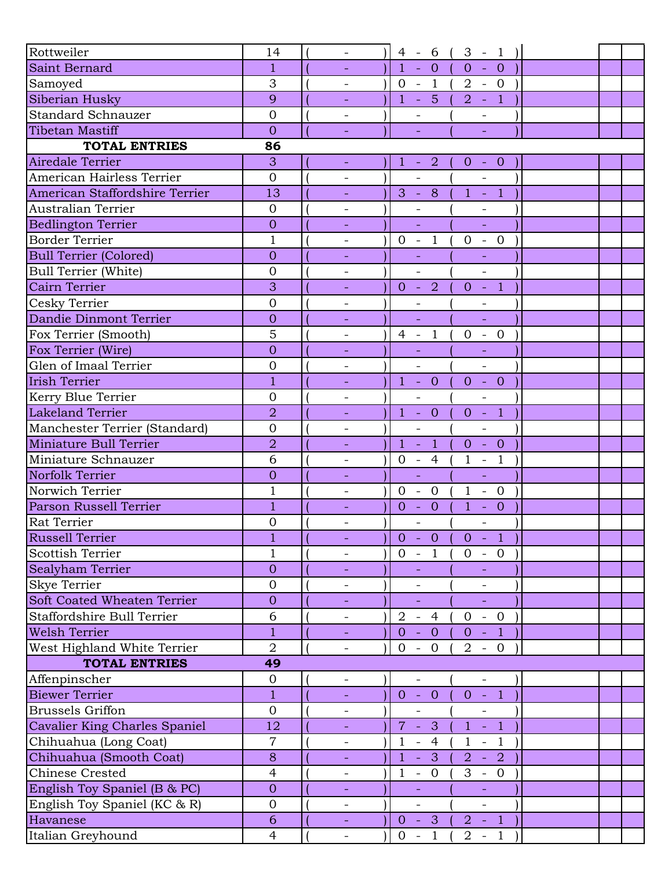| Rottweiler                     | 14             | $\overline{\phantom{a}}$ | $4 - 6$ (                                  | $3 - 1$                  |  |  |
|--------------------------------|----------------|--------------------------|--------------------------------------------|--------------------------|--|--|
| Saint Bernard                  | $\mathbf{1}$   |                          | $\overline{1}$<br>$-0$                     | $\overline{0}$<br>$-0$   |  |  |
| Samoyed                        | 3              |                          | $0 - 1$                                    | $2 - 0$                  |  |  |
| Siberian Husky                 | 9              |                          | $-5($<br>$\mathbf{1}$                      | $2 - 1$                  |  |  |
| <b>Standard Schnauzer</b>      | $\overline{0}$ |                          | $\overline{\phantom{a}}$                   | $\overline{\phantom{a}}$ |  |  |
| <b>Tibetan Mastiff</b>         | $\overline{0}$ |                          |                                            |                          |  |  |
| <b>TOTAL ENTRIES</b>           | 86             |                          |                                            |                          |  |  |
| Airedale Terrier               | 3              | $\equiv$                 | $1 - 2$                                    | $0 - 0$                  |  |  |
| American Hairless Terrier      | $\overline{0}$ |                          | $\overline{a}$                             | $\overline{a}$           |  |  |
| American Staffordshire Terrier | 13             | $\blacksquare$           | $3 - 8$                                    | $1 - 1$                  |  |  |
| Australian Terrier             | $\overline{0}$ |                          |                                            |                          |  |  |
| <b>Bedlington Terrier</b>      | $\overline{0}$ |                          |                                            |                          |  |  |
| <b>Border Terrier</b>          | $\mathbf{1}$   | $\overline{\phantom{a}}$ | $\mathbf{1}$<br>$0 -$                      | $-0$<br>$\mathbf{0}$     |  |  |
| <b>Bull Terrier (Colored)</b>  | $\overline{0}$ |                          |                                            |                          |  |  |
| <b>Bull Terrier (White)</b>    | $\mathbf{0}$   |                          |                                            | $\overline{\phantom{a}}$ |  |  |
| Cairn Terrier                  | 3              |                          | $0 - 2$                                    | $0 - 1$                  |  |  |
| Cesky Terrier                  | $\overline{0}$ | $\overline{\phantom{a}}$ |                                            |                          |  |  |
| Dandie Dinmont Terrier         | $\overline{0}$ | ÷,                       | ÷,                                         | ÷,                       |  |  |
| Fox Terrier (Smooth)           | 5              | $\qquad \qquad -$        | $\overline{1}$<br>$4 -$                    | $-0$<br>$\mathbf{0}$     |  |  |
| Fox Terrier (Wire)             | $\overline{0}$ |                          |                                            |                          |  |  |
| Glen of Imaal Terrier          | $\overline{0}$ | $\overline{\phantom{a}}$ | $\overline{\phantom{0}}$                   | $\overline{\phantom{a}}$ |  |  |
| <b>Irish Terrier</b>           | $\overline{1}$ |                          | $1 - 0$                                    | $0 - 0$                  |  |  |
| Kerry Blue Terrier             | $\overline{0}$ | $\qquad \qquad -$        |                                            | $\overline{\phantom{0}}$ |  |  |
| <b>Lakeland Terrier</b>        | $\overline{2}$ |                          | $1 -$<br>$\overline{0}$                    | $-1$<br>$\overline{0}$   |  |  |
| Manchester Terrier (Standard)  | $\overline{0}$ | $\overline{\phantom{a}}$ | $\overline{a}$                             | $\equiv$                 |  |  |
| Miniature Bull Terrier         | $\overline{2}$ | $\equiv$                 | $1 -$<br>$\clubsuit$                       | $0 - 0$                  |  |  |
| Miniature Schnauzer            | 6              |                          | $0 - 4$                                    | $\mathbf{1}$<br>$-1$     |  |  |
| Norfolk Terrier                | $\overline{0}$ |                          | $\Box$                                     | $\equiv$                 |  |  |
| Norwich Terrier                | $\mathbf 1$    | $\overline{\phantom{a}}$ | $0 -$<br>$\overline{0}$                    | $\mathbf{1}$<br>$- 0$    |  |  |
| Parson Russell Terrier         | $\overline{1}$ |                          | $\overline{0}$<br>$-0$                     | $\mathbf{1}$<br>$- 0$    |  |  |
| <b>Rat Terrier</b>             | $\overline{0}$ |                          | $\overline{\phantom{0}}$                   | $\overline{\phantom{0}}$ |  |  |
| <b>Russell Terrier</b>         | 1              |                          | $0 - 0$                                    | $0 - 1$                  |  |  |
| <b>Scottish Terrier</b>        | $\mathbf{1}$   |                          | $0 - 1$                                    | $0 - 0$                  |  |  |
| Sealyham Terrier               | $\overline{0}$ | ◆                        | $\equiv$                                   | $\equiv$                 |  |  |
| Skye Terrier                   | $\overline{0}$ |                          |                                            |                          |  |  |
| Soft Coated Wheaten Terrier    | $\overline{0}$ |                          |                                            | $\Box$                   |  |  |
| Staffordshire Bull Terrier     | 6              | $\overline{\phantom{a}}$ | $2 - 4$                                    | $\overline{0}$<br>$-0$   |  |  |
| <b>Welsh Terrier</b>           | $\overline{1}$ | $\equiv$                 | $0 - 0$                                    | $0 - 1$                  |  |  |
| West Highland White Terrier    | $\overline{2}$ | $\overline{\phantom{a}}$ | $0 -$<br>$\overline{0}$                    | $2 - 0$                  |  |  |
| <b>TOTAL ENTRIES</b>           | 49             |                          |                                            |                          |  |  |
| Affenpinscher                  | $\mathbf{0}$   | $\overline{\phantom{a}}$ | $\overline{\phantom{0}}$                   | $\overline{\phantom{a}}$ |  |  |
| <b>Biewer Terrier</b>          | $\mathbf{1}$   | $\sim$                   | $0 - 0$                                    | $0 - 1$                  |  |  |
| <b>Brussels Griffon</b>        | $\mathbf{0}$   | $\overline{\phantom{a}}$ | $\overline{\phantom{0}}$                   | $\overline{\phantom{0}}$ |  |  |
| Cavalier King Charles Spaniel  | 12             |                          | $7 -$<br>$\bullet$                         | $1 - 1$                  |  |  |
| Chihuahua (Long Coat)          | $\overline{7}$ |                          | $-4$<br>$\mathbf{1}$                       | $\mathbf{1}$<br>$-1$     |  |  |
| Chihuahua (Smooth Coat)        | 8              | $\equiv$                 | $\mathbf{1}$<br>$-3$                       | $2 - 2$                  |  |  |
| <b>Chinese Crested</b>         | $\overline{4}$ | $\overline{\phantom{a}}$ | $\mathbf{1}$<br>$\overline{0}$<br>$\equiv$ | $3 - 0$                  |  |  |
| English Toy Spaniel (B & PC)   | $\overline{0}$ | $\overline{\phantom{a}}$ |                                            |                          |  |  |
| English Toy Spaniel (KC & R)   | $\mathbf 0$    | $\overline{\phantom{a}}$ | $\overline{\phantom{a}}$                   | $\overline{\phantom{a}}$ |  |  |
| Havanese                       | $\sqrt{6}$     | $\omega_{\rm{eff}}$      | $0 - 3$ (                                  | $2 - 1$                  |  |  |
| Italian Greyhound              | $\overline{4}$ |                          | $\overline{0}$<br>$-1$                     | $2 - 1$                  |  |  |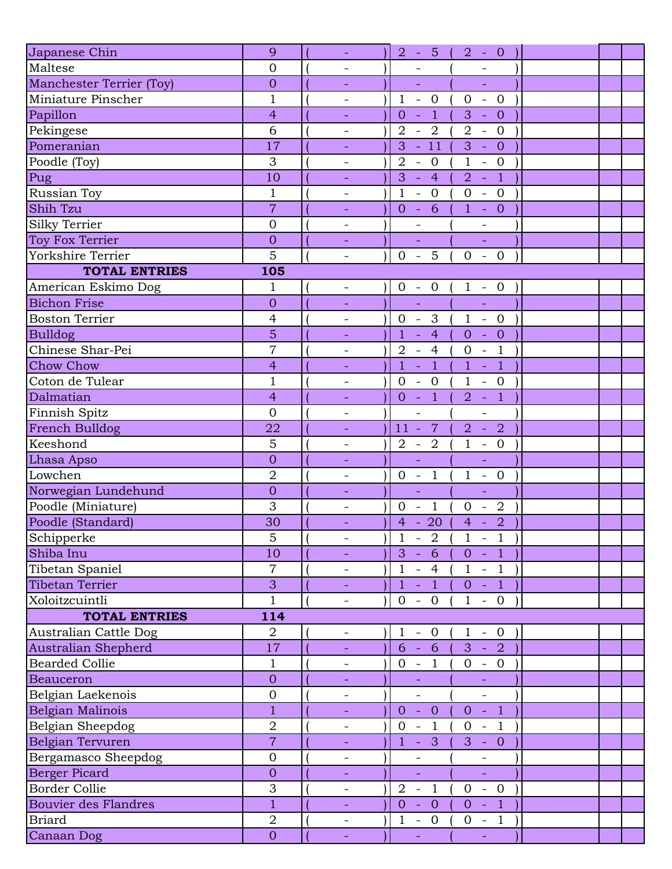| Japanese Chin               | 9                | $\omega$                 | $2 - 5 ($<br>$2 - 0$                                                                                                       |  |
|-----------------------------|------------------|--------------------------|----------------------------------------------------------------------------------------------------------------------------|--|
| Maltese                     | $\overline{0}$   | $\qquad \qquad -$        |                                                                                                                            |  |
| Manchester Terrier (Toy)    | $\overline{0}$   | $\overline{\phantom{a}}$ | ÷,<br>÷,                                                                                                                   |  |
| Miniature Pinscher          | $\mathbf{1}$     | $\qquad \qquad -$        | $\mathbf{1}$<br>$\overline{0}$<br>$\mathbf{0}$<br>$-0$<br>$\mathbb{Z}^2$                                                   |  |
| Papillon                    | $\overline{4}$   |                          | $\overline{1}$<br>$\overline{0}$<br>$\omega$<br>$3 - 0$                                                                    |  |
| Pekingese                   | 6                | $\overline{\phantom{a}}$ | $\overline{2}$<br>$-2$<br>$2 - 0$                                                                                          |  |
| Pomeranian                  | 17               |                          | $-11$<br>3<br>3<br>$- 0$                                                                                                   |  |
| Poodle (Toy)                | 3                | $\qquad \qquad -$        | $\overline{2}$<br>$\overline{0}$<br>$\mathbf{1}$<br>$\overline{\phantom{0}}$<br>$-$ 0                                      |  |
| Pug                         | 10               | ÷,                       | 3<br>$-4$<br>$\sim$ 1<br>$\overline{2}$                                                                                    |  |
| Russian Toy                 | $\mathbf{1}$     | $\qquad \qquad -$        | $\mathbf{1}$<br>$-0$<br>$-0$<br>$\overline{0}$                                                                             |  |
| Shih Tzu                    | $\overline{7}$   | $\equiv$                 | $-6$<br>$\overline{0}$<br>$1 - 0$                                                                                          |  |
| <b>Silky Terrier</b>        | $\overline{0}$   |                          |                                                                                                                            |  |
| Toy Fox Terrier             | $\overline{0}$   |                          | ÷,                                                                                                                         |  |
| Yorkshire Terrier           | 5                | $\overline{\phantom{a}}$ | $0 - 5$<br>$\overline{0}$<br>$-0$                                                                                          |  |
| <b>TOTAL ENTRIES</b>        | 105              |                          |                                                                                                                            |  |
| American Eskimo Dog         | $\mathbf 1$      | $\qquad \qquad -$        | $0 - 0$<br>$1 - 0$                                                                                                         |  |
| <b>Bichon Frise</b>         | $\overline{0}$   |                          | $\omega$<br>$\omega$                                                                                                       |  |
| <b>Boston Terrier</b>       | $\overline{4}$   | $\qquad \qquad -$        | $0 - 3$<br>$1 - 0$                                                                                                         |  |
| <b>Bulldog</b>              | 5                | $\equiv$                 | $-4$<br>$\mathbf{1}$<br>$- 0$<br>$\overline{0}$                                                                            |  |
| Chinese Shar-Pei            | $\overline{7}$   | $\overline{\phantom{a}}$ | $-1$<br>$\overline{2}$<br>$\overline{4}$<br>$\mathbf{0}$<br>$\mathbb{L}$                                                   |  |
| <b>Chow Chow</b>            | $\overline{4}$   |                          | $\mathbf{1}$<br>$\overline{1}$<br>$\mathbf{1}$<br>$\overline{1}$<br>$\mathbb{Z}$<br>$\sim$                                 |  |
| Coton de Tulear             | $\mathbf{1}$     | $\overline{\phantom{a}}$ | $\overline{0}$<br>$\overline{0}$<br>$\mathbf{1}$<br>$-0$<br>$\sim$ $-$                                                     |  |
| Dalmatian                   | $\overline{4}$   | $\equiv$                 | $-1$<br>$-1$<br>$\overline{0}$<br>$\overline{2}$                                                                           |  |
| Finnish Spitz               | $\overline{0}$   | $\overline{\phantom{a}}$ | $\overline{\phantom{0}}$<br>$\overline{\phantom{a}}$                                                                       |  |
| French Bulldog              | 22               | $\overline{\phantom{a}}$ | $\overline{7}$<br>$\overline{2}$<br>$\overline{2}$<br>$11 -$<br>$\sim$                                                     |  |
| Keeshond                    | 5                | $\overline{\phantom{0}}$ | $\mathbf{1}$<br>$2\hspace{0.1cm}$ - $\hspace{0.1cm}2\hspace{0.1cm}$<br>$- 0$                                               |  |
| Lhasa Apso                  | $\overline{0}$   | $\equiv$                 | $\omega$<br>$\Box$                                                                                                         |  |
| Lowchen                     | $\overline{2}$   | $\overline{\phantom{a}}$ | $\overline{1}$<br>$0 -$<br>$\mathbf{1}$<br>$- 0$                                                                           |  |
| Norwegian Lundehund         | $\overline{0}$   | $\equiv$                 | ÷,<br>÷,                                                                                                                   |  |
| Poodle (Miniature)          | 3                | $\overline{\phantom{a}}$ | $\overline{1}$<br>$\overline{2}$<br>$\mathbf{0}$<br>$\overline{0}$<br>$\overline{\phantom{a}}$<br>$\overline{\phantom{a}}$ |  |
| Poodle (Standard)           | 30               | $\equiv$                 | $4 - 20$<br>$\overline{2}$<br>$4 -$                                                                                        |  |
| Schipperke                  | 5                | $\overline{\phantom{a}}$ | $\mathbf 1$<br>$-2$<br>$\mathbf{1}$<br>$-1$                                                                                |  |
| Shiba Inu                   | 10               |                          | $3 -$<br>$0 - 1$<br>6                                                                                                      |  |
| Tibetan Spaniel             | $\overline{7}$   | $\qquad \qquad -$        | $\mathbf{1}$<br>$-4$<br>$1 - 1$                                                                                            |  |
| Tibetan Terrier             | 3                | $\blacksquare$           | $\mathbf{1}$<br>$\vert 1 \vert$<br>$0 - 1$<br>$\omega$                                                                     |  |
| Xoloitzcuintli              | $\mathbf{1}$     | $\overline{\phantom{a}}$ | $0 - 0$<br>$\mathbf{1}$<br>$-0$                                                                                            |  |
| <b>TOTAL ENTRIES</b>        | 114              |                          |                                                                                                                            |  |
| Australian Cattle Dog       | $\overline{2}$   | $\qquad \qquad -$        | $1 - 0$<br>$\mathbf{1}$<br>$-0$ )                                                                                          |  |
| Australian Shepherd         | 17               | $\equiv$                 | $6 - 6$<br>$3 - 2$                                                                                                         |  |
| <b>Bearded Collie</b>       | $\mathbf{1}$     | $\overline{\phantom{a}}$ | $0 -$<br>$\mathbf{1}$<br>$0 - 0$                                                                                           |  |
| Beauceron                   | $\overline{0}$   |                          |                                                                                                                            |  |
| Belgian Laekenois           | $\boldsymbol{0}$ | $\overline{\phantom{0}}$ | $\frac{1}{2}$<br>$\frac{1}{2}$                                                                                             |  |
| Belgian Malinois            | $\mathbf{1}$     | $\equiv$                 | $-1$<br>$\overline{0}$<br>$\sim$<br>$\overline{0}$<br>$\mathbf{O}$                                                         |  |
| Belgian Sheepdog            | $\overline{2}$   | $\overline{\phantom{0}}$ | $\mathbf{O}$<br>$\overline{1}$<br>$\overline{0}$<br>$-1$<br>$\mathbb{L}$                                                   |  |
| Belgian Tervuren            | $\overline{7}$   | $\blacksquare$           | $-3$<br>$3 - 0$<br>$\mathbf{1}$                                                                                            |  |
| Bergamasco Sheepdog         | $\overline{0}$   | $\overline{\phantom{a}}$ |                                                                                                                            |  |
| <b>Berger Picard</b>        | $\mathbf{0}$     |                          | ÷.<br>$\Box$                                                                                                               |  |
| <b>Border Collie</b>        | 3                | $\overline{\phantom{a}}$ | $\overline{2}$<br>$-0$<br>$\blacksquare$<br>$\overline{1}$<br>$\overline{0}$                                               |  |
| <b>Bouvier des Flandres</b> | $\mathbf{1}$     |                          | $\overline{0}$<br>$\overline{0}$<br>$\overline{0}$<br>$\vert 1 \vert$<br>$\sim$<br>$\sim$                                  |  |
| <b>Briard</b>               | $\overline{2}$   | $\qquad \qquad -$        | $\mathbf{1}$<br>$-0$<br>$\overline{0}$<br>$-1$                                                                             |  |
| Canaan Dog                  | $\overline{O}$   |                          | u,                                                                                                                         |  |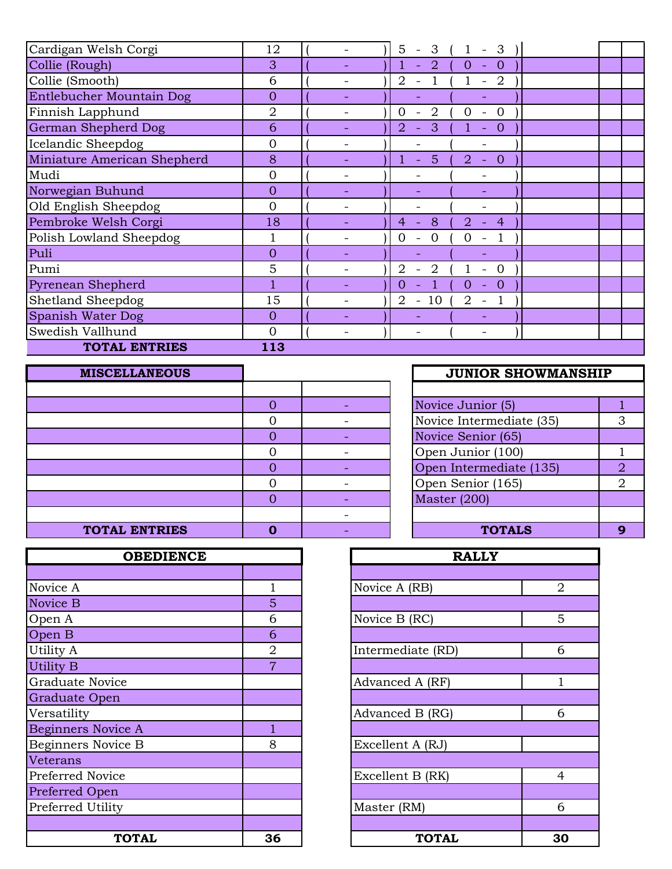| Cardigan Welsh Corgi        | 12             | 5<br>3<br>3<br>$\overline{\phantom{0}}$<br>$\overline{\phantom{a}}$                      |  |
|-----------------------------|----------------|------------------------------------------------------------------------------------------|--|
| Collie (Rough)              | 3              | $\overline{0}$<br>$\overline{2}$<br>$\mathbf{O}$<br>$\equiv$                             |  |
| Collie (Smooth)             | 6              | $\overline{2}$<br>$\overline{2}$<br>$\overline{\phantom{a}}$<br>$\overline{\phantom{a}}$ |  |
| Entlebucher Mountain Dog    | $\overline{0}$ |                                                                                          |  |
| Finnish Lapphund            | 2              | 2<br>0<br>$\Omega$<br>0<br>$\overline{\phantom{a}}$                                      |  |
| German Shepherd Dog         | 6              | $\overline{2}$<br>3<br>$\theta$<br>$\equiv$<br>$\equiv$                                  |  |
| Icelandic Sheepdog          | 0              |                                                                                          |  |
| Miniature American Shepherd | 8              | 5<br>$\overline{2}$<br>$\overline{0}$<br>$\equiv$<br>$\equiv$                            |  |
| Mudi                        | $\overline{0}$ |                                                                                          |  |
| Norwegian Buhund            | $\overline{0}$ |                                                                                          |  |
| Old English Sheepdog        | $\overline{0}$ |                                                                                          |  |
| Pembroke Welsh Corgi        | 18             | 8<br>2.<br>4<br>4                                                                        |  |
| Polish Lowland Sheepdog     |                | $\Omega$<br>$\Omega$                                                                     |  |
| Puli                        | $\overline{0}$ |                                                                                          |  |
| Pumi                        | 5              | 2<br>2<br>$\Omega$                                                                       |  |
| Pyrenean Shepherd           |                | 0<br>$\theta$<br>O<br>$\blacksquare$                                                     |  |
| Shetland Sheepdog           | 15             | 2<br>10<br>2<br>$\overline{\phantom{a}}$<br>$\overline{\phantom{a}}$                     |  |
| Spanish Water Dog           | $\mathbf{0}$   |                                                                                          |  |
| Swedish Vallhund            | $\overline{0}$ | $\overline{\phantom{0}}$                                                                 |  |
| <b>TOTAL ENTRIES</b>        | 113            |                                                                                          |  |

| <b>MISCELLANEOUS</b> |  | <b>JUNIOR SHOWMANSHIP</b> |                |
|----------------------|--|---------------------------|----------------|
|                      |  |                           |                |
|                      |  | Novice Junior (5)         |                |
|                      |  | Novice Intermediate (35)  | 3              |
|                      |  | Novice Senior (65)        |                |
|                      |  | Open Junior (100)         |                |
|                      |  | Open Intermediate (135)   | $\overline{2}$ |
|                      |  | Open Senior (165)         | $\overline{2}$ |
|                      |  | Master $(200)$            |                |
|                      |  |                           |                |
| <b>TOTAL ENTRIES</b> |  | <b>TOTALS</b>             | 9              |

| <b>OBEDIENCE</b>          |                | <b>RALLY</b>      |                |
|---------------------------|----------------|-------------------|----------------|
|                           |                |                   |                |
| Novice A                  |                | Novice A (RB)     | $\overline{2}$ |
| Novice B                  | 5              |                   |                |
| Open A                    | 6              | Novice B (RC)     | 5              |
| Open B                    | 6              |                   |                |
| Utility A                 | $\overline{2}$ | Intermediate (RD) | 6              |
| Utility B                 | $\overline{7}$ |                   |                |
| <b>Graduate Novice</b>    |                | Advanced A (RF)   |                |
| Graduate Open             |                |                   |                |
| Versatility               |                | Advanced B (RG)   | 6              |
| <b>Beginners Novice A</b> |                |                   |                |
| <b>Beginners Novice B</b> | 8              | Excellent A (RJ)  |                |
| Veterans                  |                |                   |                |
| Preferred Novice          |                | Excellent B (RK)  | $\overline{4}$ |
| Preferred Open            |                |                   |                |
| Preferred Utility         |                | Master (RM)       | 6              |
|                           |                |                   |                |
| <b>TOTAL</b>              | 36             | <b>TOTAL</b>      | 3 <sub>0</sub> |

|                |                          | <b>JUNIOR SHOWMANSHIP</b> |  |  |  |  |  |
|----------------|--------------------------|---------------------------|--|--|--|--|--|
|                |                          |                           |  |  |  |  |  |
| 0              | Novice Junior (5)        |                           |  |  |  |  |  |
| 0              | Novice Intermediate (35) |                           |  |  |  |  |  |
| $\overline{0}$ | Novice Senior (65)       |                           |  |  |  |  |  |
| 0              | Open Junior (100)        |                           |  |  |  |  |  |
| $\overline{0}$ | Open Intermediate (135)  | 2                         |  |  |  |  |  |
| 0              | Open Senior (165)        | $\mathcal{D}_{1}^{(1)}$   |  |  |  |  |  |
| $\overline{O}$ | <b>Master (200)</b>      |                           |  |  |  |  |  |
|                |                          |                           |  |  |  |  |  |
|                | <b>TOTALS</b>            |                           |  |  |  |  |  |

| <b>OBEDIENCE</b> |                | <b>RALLY</b>      |                |
|------------------|----------------|-------------------|----------------|
|                  |                |                   |                |
|                  | 1              | Novice A (RB)     | $\overline{2}$ |
|                  | $\overline{5}$ |                   |                |
|                  | 6              | Novice B (RC)     | 5              |
|                  | 6              |                   |                |
|                  | $\overline{2}$ | Intermediate (RD) | 6              |
|                  | $\overline{7}$ |                   |                |
| ce               |                | Advanced A (RF)   | 1              |
| n                |                |                   |                |
|                  |                | Advanced B (RG)   | 6              |
| ice A            | $\overline{1}$ |                   |                |
| ice B            | 8              | Excellent A (RJ)  |                |
|                  |                |                   |                |
| ce               |                | Excellent B (RK)  | $\overline{4}$ |
| $\mathbf{a}$     |                |                   |                |
| ty               |                | Master (RM)       | 6              |
|                  |                |                   |                |
| <b>TOTAL</b>     | 36             | <b>TOTAL</b>      | 30             |
|                  |                |                   |                |